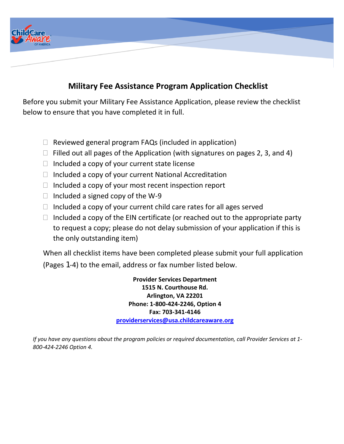

# **Military Fee Assistance Program Application Checklist**

Before you submit your Military Fee Assistance Application, please review the checklist below to ensure that you have completed it in full.

- $\Box$  Reviewed general program FAQs (included in application)
- $\Box$  Filled out all pages of the Application (with signatures on pages 2, 3, and 4)
- $\Box$  Included a copy of your current state license
- $\Box$  Included a copy of your current National Accreditation
- $\Box$  Included a copy of your most recent inspection report
- $\Box$  Included a signed copy of the W-9
- $\Box$  Included a copy of your current child care rates for all ages served
- $\Box$  Included a copy of the EIN certificate (or reached out to the appropriate party to request a copy; please do not delay submission of your application if this is the only outstanding item)

When all checklist items have been completed please submit your full application (Pages 1-4) to the email, address or fax number listed below.

> **Provider Services Department 1515 N. Courthouse Rd. Arlington, VA 22201 Phone: 1-800-424-2246, Option 4 Fax: 703-341-4146 [providerservices@usa.childcareaware.org](mailto:providerservices@usa.childcareaware.org)**

*If you have any questions about the program policies or required documentation, call Provider Services at 1- 800-424-2246 Option 4.*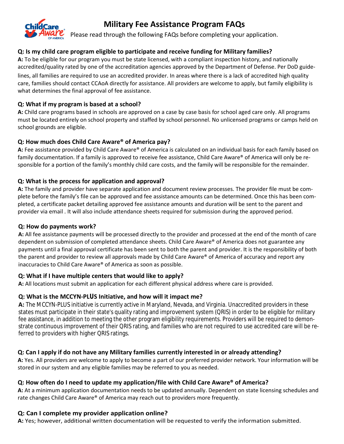

# **Military Fee Assistance Program FAQs**

Please read through the following FAQs before completing your application.

# **Q: Is my child care program eligible to participate and receive funding for Military families?**

**A:** To be eligible for our program you must be state licensed, with a compliant inspection history, and nationally accredited/quality rated by one of the accreditation agencies approved by the Department of Defense. Per DoD guide-

lines, all families are required to use an accredited provider. In areas where there is a lack of accredited high quality care, families should contact CCAoA directly for assistance. All providers are welcome to apply, but family eligibility is what determines the final approval of fee assistance.

### **Q: What if my program is based at a school?**

**A:** Child care programs based in schools are approved on a case by case basis for school aged care only. All programs must be located entirely on school property and staffed by school personnel. No unlicensed programs or camps held on school grounds are eligible.

# **Q: How much does Child Care Aware® of America pay?**

**A:** Fee assistance provided by Child Care Aware® of America is calculated on an individual basis for each family based on family documentation. If a family is approved to receive fee assistance, Child Care Aware® of America will only be responsible for a portion of the family's monthly child care costs, and the family will be responsible for the remainder.

# **Q: What is the process for application and approval?**

**A:** The family and provider have separate application and document review processes. The provider file must be complete before the family's file can be approved and fee assistance amounts can be determined. Once this has been completed, a certificate packet detailing approved fee assistance amounts and duration will be sent to the parent and provider via email . It will also include attendance sheets required for submission during the approved period.

### **Q: How do payments work?**

**A:** All fee assistance payments will be processed directly to the provider and processed at the end of the month of care dependent on submission of completed attendance sheets. Child Care Aware® of America does not guarantee any payments until a final approval certificate has been sent to both the parent and provider. It is the responsibility of both the parent and provider to review all approvals made by Child Care Aware® of America of accuracy and report any inaccuracies to Child Care Aware® of America as soon as possible.

### **Q: What if I have multiple centers that would like to apply?**

**A:** All locations must submit an application for each different physical address where care is provided.

### **Q: What is the MCCYN-PLUS Initiative, and how will it impact me?**

**A:** The MCCYN-PLUS initiative is currently active in Maryland, Nevada, and Virginia. Unaccredited providers in these states must participate in their state's quality rating and improvement system (QRIS) in order to be eligible for military fee assistance, in addition to meeting the other program eligibility requirements. Providers will be required to demonstrate continuous improvement of their QRIS rating, and families who are not required to use accredited care will be referred to providers with higher QRIS ratings.

### **Q: Can I apply if do not have any Military families currently interested in or already attending?**

**A:** Yes. All providers are welcome to apply to become a part of our preferred provider network. Your information will be stored in our system and any eligible families may be referred to you as needed.

# **Q: How often do I need to update my application/file with Child Care Aware® of America?**

**A:** At a minimum application documentation needs to be updated annually. Dependent on state licensing schedules and rate changes Child Care Aware® of America may reach out to providers more frequently.

# **Q: Can I complete my provider application online?**

**A:** Yes; however, additional written documentation will be requested to verify the information submitted.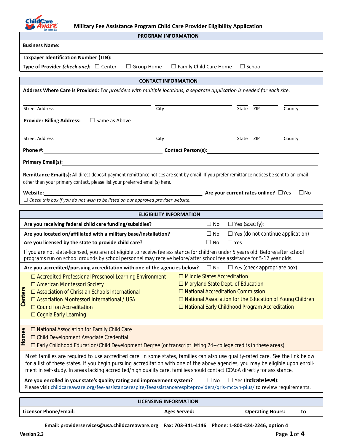

**Military Fee Assistance Program Child Care Provider Eligibility Application**

| <b>PROGRAM INFORMATION</b>                                                                                                                                                                                                                                                                                                                                                                       |                                                                                                                                                                                                                                                   |  |  |
|--------------------------------------------------------------------------------------------------------------------------------------------------------------------------------------------------------------------------------------------------------------------------------------------------------------------------------------------------------------------------------------------------|---------------------------------------------------------------------------------------------------------------------------------------------------------------------------------------------------------------------------------------------------|--|--|
| <b>Business Name:</b>                                                                                                                                                                                                                                                                                                                                                                            |                                                                                                                                                                                                                                                   |  |  |
| <b>Taxpayer Identification Number (TIN):</b>                                                                                                                                                                                                                                                                                                                                                     |                                                                                                                                                                                                                                                   |  |  |
| Type of Provider (check one): $\Box$ Center<br>$\Box$ Group Home                                                                                                                                                                                                                                                                                                                                 | $\Box$ Family Child Care Home<br>$\Box$ School                                                                                                                                                                                                    |  |  |
| <b>CONTACT INFORMATION</b>                                                                                                                                                                                                                                                                                                                                                                       |                                                                                                                                                                                                                                                   |  |  |
| Address Where Care is Provided: For providers with multiple locations, a separate application is needed for each site.                                                                                                                                                                                                                                                                           |                                                                                                                                                                                                                                                   |  |  |
| <b>Street Address</b><br>City                                                                                                                                                                                                                                                                                                                                                                    | State ZIP<br>County                                                                                                                                                                                                                               |  |  |
| $\square$ Same as Above<br><b>Provider Billing Address:</b>                                                                                                                                                                                                                                                                                                                                      |                                                                                                                                                                                                                                                   |  |  |
| <b>Street Address</b><br>City                                                                                                                                                                                                                                                                                                                                                                    | State ZIP<br>County                                                                                                                                                                                                                               |  |  |
| Phone #:<br><u> 1980 - Johann Stoff, fransk politik (d. 1980)</u>                                                                                                                                                                                                                                                                                                                                |                                                                                                                                                                                                                                                   |  |  |
| Primary Email(s): Note and the set of the set of the set of the set of the set of the set of the set of the set of the set of the set of the set of the set of the set of the set of the set of the set of the set of the set                                                                                                                                                                    |                                                                                                                                                                                                                                                   |  |  |
| Remittance Email(s): All direct deposit payment remittance notices are sent by email. If you prefer remittance notices be sent to an email<br>other than your primary contact, please list your preferred email(s) here. <u>Community and the contract of the state</u>                                                                                                                          |                                                                                                                                                                                                                                                   |  |  |
| Website:<br>$\mathsf{Area}$ are your current rates online? $\Box$ Yes                                                                                                                                                                                                                                                                                                                            | $\Box$ No                                                                                                                                                                                                                                         |  |  |
| $\Box$ Check this box if you do not wish to be listed on our approved provider website.                                                                                                                                                                                                                                                                                                          |                                                                                                                                                                                                                                                   |  |  |
| <b>ELIGIBILITY INFORMATION</b>                                                                                                                                                                                                                                                                                                                                                                   |                                                                                                                                                                                                                                                   |  |  |
| Are you receiving federal child care funding/subsidies?                                                                                                                                                                                                                                                                                                                                          | $\Box$ Yes (specify):<br>$\square$ No                                                                                                                                                                                                             |  |  |
| Are you located on/affiliated with a military base/installation?                                                                                                                                                                                                                                                                                                                                 | $\Box$ Yes (do not continue application)<br>$\square$ No                                                                                                                                                                                          |  |  |
| Are you licensed by the state to provide child care?                                                                                                                                                                                                                                                                                                                                             | $\Box$ No<br>$\Box$ Yes                                                                                                                                                                                                                           |  |  |
| If you are not state-licensed, you are not eligible to receive fee assistance for children under 5 years old. Before/after school<br>programs run on school grounds by school personnel may receive before/after school fee assistance for 5-12 year olds.                                                                                                                                       |                                                                                                                                                                                                                                                   |  |  |
| Are you accredited/pursuing accreditation with one of the agencies below? $\square$ No $\square$ Yes (check appropriate box)                                                                                                                                                                                                                                                                     |                                                                                                                                                                                                                                                   |  |  |
| $\Box$ Accredited Professional Preschool Learning Environment<br>□ American Montessori Society<br>Centers<br>$\Box$ Association of Christian Schools International<br>□ Association Montessori International / USA<br>□ Council on Accreditation<br>$\Box$ Cognia Early Learning                                                                                                                 | $\Box$ Middle States Accreditation<br>$\Box$ Maryland State Dept. of Education<br>$\Box$ National Accreditation Commission<br>$\Box$ National Association for the Education of Young Children<br>□ National Early Childhood Program Accreditation |  |  |
| □ National Association for Family Child Care<br>Homes<br>□ Child Development Associate Credential<br>Early Childhood Education/Child Development Degree (or transcript listing 24+ college credits in these areas)                                                                                                                                                                               |                                                                                                                                                                                                                                                   |  |  |
| Most families are required to use accredited care. In some states, families can also use quality-rated care. See the link below<br>for a list of these states. If you begin pursuing accreditation with one of the above agencies, you may be eligible upon enroll-<br>ment in self-study. In areas lacking accredited/high quality care, families should contact CCAoA directly for assistance. |                                                                                                                                                                                                                                                   |  |  |
| Are you enrolled in your state's quality rating and improvement system?<br>$\Box$ Yes (indicate level):<br>$\Box$ No<br>Please visit childcareaware.org/fee-assistancerespite/feeassistancerespiteproviders/qris-mccyn-plus/ to review requirements.                                                                                                                                             |                                                                                                                                                                                                                                                   |  |  |
| <b>LICENSING INFORMATION</b>                                                                                                                                                                                                                                                                                                                                                                     |                                                                                                                                                                                                                                                   |  |  |
| Licensor Phone/Email:                                                                                                                                                                                                                                                                                                                                                                            | <b>Operating Hours:</b><br><b>Ages Served:</b><br>to                                                                                                                                                                                              |  |  |
|                                                                                                                                                                                                                                                                                                                                                                                                  |                                                                                                                                                                                                                                                   |  |  |

**Email: providerservices@usa.childcareaware.org │ Fax: 703-341-4146 │ Phone: 1-800-424-2246, option 4**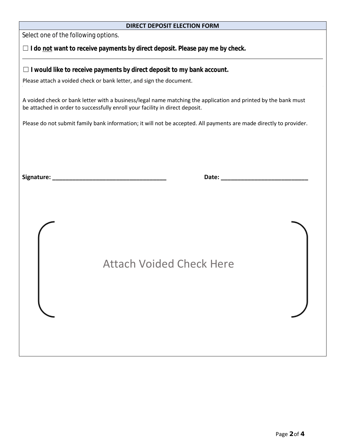#### **DIRECT DEPOSIT ELECTION FORM**

[Select o](https://www.tracker-software.com/product/pdf-xchange-editor)ne of the following options.

□ I do not want to receive payments by direct deposit. Please pay me by check.

☐ **I would like to receive payments by direct deposit to my bank account.**

Please attach a voided check or bank letter, and sign the document.

A voided check or bank letter with a business/legal name matching the application and printed by the bank must be attached in order to successfully enroll your facility in direct deposit.

Please do not submit family bank information; it will not be accepted. All payments are made directly to provider.

| <b>Attach Voided Check Here</b> |  |
|---------------------------------|--|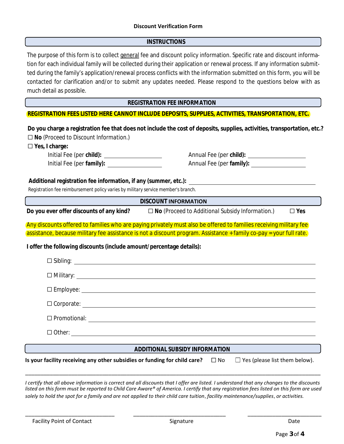

#### **INSTRUCTIONS**

The purpose of this form is to collect general fee and discount policy information. Specific rate and discount information for each individual family will be collected during their application or renewal process. If any information submitted during the family's application/renewal process conflicts with the information submitted on this form, you will be contacted for clarification and/or to submit any updates needed. Please respond to the questions below with as much detail as possible.

**REGISTRATION FEE INFORMATION**

#### **REGISTRATION FEES LISTED HERE CANNOT INCLUDE DEPOSITS, SUPPLIES, ACTIVITIES, TRANSPORTATION, ETC.**

**Do you charge a registration fee that does not include the cost of deposits, supplies, activities, transportation, etc.?** ☐ **No** *(Proceed to Discount Information.)*

☐ **Yes, I charge:**

Initial Fee (per **child):** Annual Fee (per **child):** Initial Fee (per **family):** Annual Fee (per **family):**

**Additional registration fee information, if any (summer, etc.):**

*Registration fee reimbursement policy varies by military service member's branch.*

**DISCOUNT** INFORMATION

**Do you ever offer discounts of any kind?** ☐ **No** *(Proceed to Additional Subsidy Information.)* ☐ **Yes** 

Any discounts offered to families who are paying privately must also be offered to families receiving military fee assistance, because military fee assistance is not a discount program. Assistance + family co-pay = your full rate.

**I offer the following discounts (include amount/percentage details):**

#### **ADDITIONAL SUBSIDY INFORMATION**

Is your facility receiving any other subsidies or funding for child care?  $\Box$  No  $\Box$  Yes (please list them below).

I certify that all above information is correct and all discounts that I offer are listed. I understand that any changes to the discounts listed on this form must be reported to Child Care Aware® of America. I certify that any registration fees listed on this form are used solely to hold the spot for a family and are not applied to their child care tuition, facility maintenance/supplies, or activities.

\_\_\_\_\_\_\_\_\_\_\_\_\_\_\_\_\_\_\_\_\_\_\_\_\_\_\_\_\_ \_\_\_\_\_\_\_\_\_\_\_\_\_\_\_\_\_\_\_\_\_\_\_\_\_\_\_\_\_\_ \_\_\_\_\_\_\_\_\_\_\_\_\_\_\_\_\_\_\_\_\_\_\_\_

 $\_$  ,  $\_$  ,  $\_$  ,  $\_$  ,  $\_$  ,  $\_$  ,  $\_$  ,  $\_$  ,  $\_$  ,  $\_$  ,  $\_$  ,  $\_$  ,  $\_$  ,  $\_$  ,  $\_$  ,  $\_$  ,  $\_$  ,  $\_$  ,  $\_$  ,  $\_$  ,  $\_$  ,  $\_$  ,  $\_$  ,  $\_$  ,  $\_$  ,  $\_$  ,  $\_$  ,  $\_$  ,  $\_$  ,  $\_$  ,  $\_$  ,  $\_$  ,  $\_$  ,  $\_$  ,  $\_$  ,  $\_$  ,  $\_$  ,